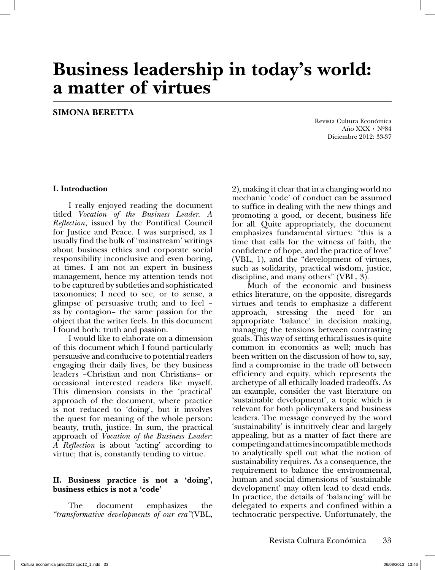# **Business leadership in today's world: a matter of virtues**

### **SIMONA BERETTA**

Revista Cultura Económica Año XXX • Nº84 Diciembre 2012: 33-37

#### **I. Introduction**

I really enjoyed reading the document titled *Vocation of the Business Leader. A Reflection*, issued by the Pontifical Council for Justice and Peace. I was surprised, as I usually find the bulk of 'mainstream' writings about business ethics and corporate social responsibility inconclusive and even boring, at times. I am not an expert in business management, hence my attention tends not to be captured by subtleties and sophisticated taxonomies; I need to see, or to sense, a glimpse of persuasive truth; and to feel – as by contagion– the same passion for the object that the writer feels. In this document I found both: truth and passion.

I would like to elaborate on a dimension of this document which I found particularly persuasive and conducive to potential readers engaging their daily lives, be they business leaders –Christian and non Christians– or occasional interested readers like myself. This dimension consists in the 'practical' approach of the document, where practice is not reduced to 'doing', but it involves the quest for meaning of the whole person: beauty, truth, justice. In sum, the practical approach of *Vocation of the Business Leader: A Reflection* is about 'acting' according to virtue; that is, constantly tending to virtue.

#### **II. Business practice is not a 'doing', business ethics is not a 'code'**

The document emphasizes the *"transformative developments of our era"*(VBL, 2), making it clear that in a changing world no mechanic 'code' of conduct can be assumed to suffice in dealing with the new things and promoting a good, or decent, business life for all. Quite appropriately, the document emphasizes fundamental virtues: "this is a time that calls for the witness of faith, the confidence of hope, and the practice of love" (VBL, 1), and the "development of virtues, such as solidarity, practical wisdom, justice, discipline, and many others" (VBL, 3).

Much of the economic and business ethics literature, on the opposite, disregards virtues and tends to emphasize a different approach, stressing the need for an appropriate 'balance' in decision making, managing the tensions between contrasting goals. This way of setting ethical issues is quite common in economics as well; much has been written on the discussion of how to, say, find a compromise in the trade off between efficiency and equity, which represents the archetype of all ethically loaded tradeoffs. As an example, consider the vast literature on 'sustainable development', a topic which is relevant for both policymakers and business leaders. The message conveyed by the word 'sustainability' is intuitively clear and largely appealing, but as a matter of fact there are competing and at times incompatible methods to analytically spell out what the notion of sustainability requires. As a consequence, the requirement to balance the environmental, human and social dimensions of 'sustainable development' may often lead to dead ends. In practice, the details of 'balancing' will be delegated to experts and confined within a technocratic perspective. Unfortunately, the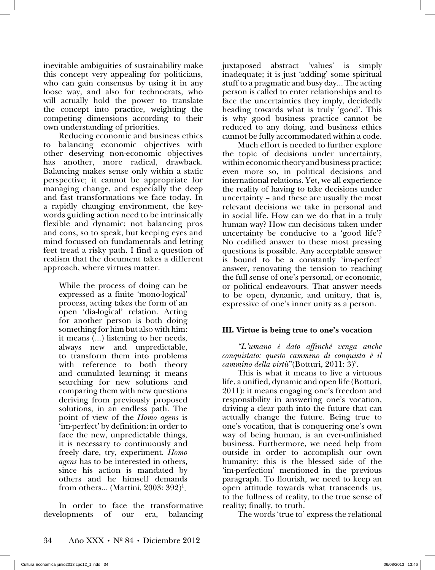inevitable ambiguities of sustainability make this concept very appealing for politicians, who can gain consensus by using it in any loose way, and also for technocrats, who will actually hold the power to translate the concept into practice, weighting the competing dimensions according to their own understanding of priorities.

Reducing economic and business ethics to balancing economic objectives with other deserving non-economic objectives has another, more radical, drawback. Balancing makes sense only within a static perspective; it cannot be appropriate for managing change, and especially the deep and fast transformations we face today. In a rapidly changing environment, the keywords guiding action need to be intrinsically flexible and dynamic; not balancing pros and cons, so to speak, but keeping eyes and mind focussed on fundamentals and letting feet tread a risky path. I find a question of realism that the document takes a different approach, where virtues matter.

While the process of doing can be expressed as a finite 'mono-logical' process, acting takes the form of an open 'dia-logical' relation. Acting for another person is both doing something for him but also with him: it means (…) listening to her needs, always new and unpredictable, to transform them into problems with reference to both theory and cumulated learning; it means searching for new solutions and comparing them with new questions deriving from previously proposed solutions, in an endless path. The point of view of the *Homo agens* is 'im-perfect' by definition: in order to face the new, unpredictable things, it is necessary to continuously and freely dare, try, experiment. *Homo agens* has to be interested in others, since his action is mandated by others and he himself demands from others… (Martini, 2003: 392)1 .

In order to face the transformative developments of our era, balancing juxtaposed abstract 'values' is simply inadequate; it is just 'adding' some spiritual stuff to a pragmatic and busy day… The acting person is called to enter relationships and to face the uncertainties they imply, decidedly heading towards what is truly 'good'. This is why good business practice cannot be reduced to any doing, and business ethics cannot be fully accommodated within a code.

Much effort is needed to further explore the topic of decisions under uncertainty, within economic theory and business practice; even more so, in political decisions and international relations. Yet, we all experience the reality of having to take decisions under uncertainty – and these are usually the most relevant decisions we take in personal and in social life. How can we do that in a truly human way? How can decisions taken under uncertainty be conducive to a 'good life'? No codified answer to these most pressing questions is possible. Any acceptable answer is bound to be a constantly 'im-perfect' answer, renovating the tension to reaching the full sense of one's personal, or economic, or political endeavours. That answer needs to be open, dynamic, and unitary, that is, expressive of one's inner unity as a person.

#### **III. Virtue is being true to one's vocation**

*"L'umano è dato affinché venga anche conquistato: questo cammino di conquista è il cammino della virtù*"(Botturi, 2011: 3)<sup>2</sup>.

This is what it means to live a virtuous life, a unified, dynamic and open life (Botturi, 2011): it means engaging one's freedom and responsibility in answering one's vocation, driving a clear path into the future that can actually change the future. Being true to one's vocation, that is conquering one's own way of being human, is an ever-unfinished business. Furthermore, we need help from outside in order to accomplish our own humanity: this is the blessed side of the 'im-perfection' mentioned in the previous paragraph. To flourish, we need to keep an open attitude towards what transcends us, to the fullness of reality, to the true sense of reality; finally, to truth.

The words 'true to' express the relational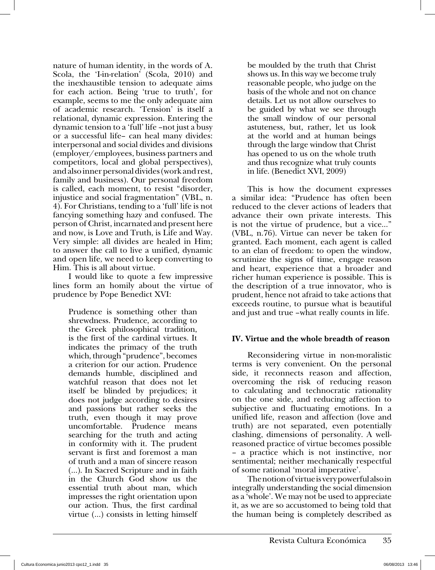nature of human identity, in the words of A. Scola, the 'I-in-relation' (Scola, 2010) and the inexhaustible tension to adequate aims for each action. Being 'true to truth', for example, seems to me the only adequate aim of academic research. 'Tension' is itself a relational, dynamic expression. Entering the dynamic tension to a 'full' life –not just a busy or a successful life– can heal many divides: interpersonal and social divides and divisions (employer/employees, business partners and competitors, local and global perspectives), and also inner personal divides (work and rest, family and business). Our personal freedom is called, each moment, to resist "disorder, injustice and social fragmentation" (VBL, n. 4). For Christians, tending to a 'full' life is not fancying something hazy and confused. The person of Christ, incarnated and present here and now, is Love and Truth, is Life and Way. Very simple: all divides are healed in Him; to answer the call to live a unified, dynamic and open life, we need to keep converting to Him. This is all about virtue.

I would like to quote a few impressive lines form an homily about the virtue of prudence by Pope Benedict XVI:

Prudence is something other than shrewdness. Prudence, according to the Greek philosophical tradition, is the first of the cardinal virtues. It indicates the primacy of the truth which, through "prudence", becomes a criterion for our action. Prudence demands humble, disciplined and watchful reason that does not let itself be blinded by prejudices; it does not judge according to desires and passions but rather seeks the truth, even though it may prove uncomfortable. Prudence means searching for the truth and acting in conformity with it. The prudent servant is first and foremost a man of truth and a man of sincere reason (…). In Sacred Scripture and in faith in the Church God show us the essential truth about man, which impresses the right orientation upon our action. Thus, the first cardinal virtue (…) consists in letting himself

be moulded by the truth that Christ shows us. In this way we become truly reasonable people, who judge on the basis of the whole and not on chance details. Let us not allow ourselves to be guided by what we see through the small window of our personal astuteness, but, rather, let us look at the world and at human beings through the large window that Christ has opened to us on the whole truth and thus recognize what truly counts in life. (Benedict XVI, 2009)

This is how the document expresses a similar idea: "Prudence has often been reduced to the clever actions of leaders that advance their own private interests. This is not the virtue of prudence, but a vice…" (VBL, n.76). Virtue can never be taken for granted. Each moment, each agent is called to an elan of freedom: to open the window, scrutinize the signs of time, engage reason and heart, experience that a broader and richer human experience is possible. This is the description of a true innovator, who is prudent, hence not afraid to take actions that exceeds routine, to pursue what is beautiful and just and true –what really counts in life.

#### **I . irtue and the whole breadth of reason**

Reconsidering virtue in non-moralistic terms is very convenient. On the personal side, it reconnects reason and affection, overcoming the risk of reducing reason to calculating and technocratic rationality on the one side, and reducing affection to subjective and fluctuating emotions. In a unified life, reason and affection (love and truth) are not separated, even potentially clashing, dimensions of personality. A wellreasoned practice of virtue becomes possible – a practice which is not instinctive, nor sentimental; neither mechanically respectful of some rational 'moral imperative'.

The notion of virtue is very powerful also in integrally understanding the social dimension as a 'whole'. We may not be used to appreciate it, as we are so accustomed to being told that the human being is completely described as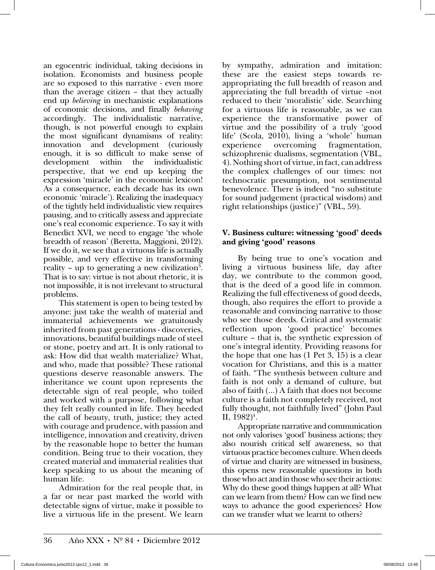an egocentric individual, taking decisions in isolation. Economists and business people are so exposed to this narrative - even more than the average citizen – that they actually end up *believing* in mechanistic explanations of economic decisions, and finally *behaving* accordingly. The individualistic narrative, though, is not powerful enough to explain the most significant dynamisms of reality: innovation and development (curiously enough, it is so difficult to make sense of development within the individualistic perspective, that we end up keeping the expression 'miracle' in the economic lexicon! As a consequence, each decade has its own economic 'miracle'). Realizing the inadequacy of the tightly held individualistic view requires pausing, and to critically assess and appreciate one's real economic experience. To say it with Benedict XVI, we need to engage 'the whole breadth of reason' (Beretta, Maggioni, 2012). If we do it, we see that a virtuous life is actually possible, and very effective in transforming reality – up to generating a new civilization<sup>3</sup>. That is to say: virtue is not about rhetoric, it is not impossible, it is not irrelevant to structural problems.

This statement is open to being tested by anyone: just take the wealth of material and immaterial achievements we gratuitously inherited from past generations - discoveries, innovations, beautiful buildings made of steel or stone, poetry and art. It is only rational to ask: How did that wealth materialize? What, and who, made that possible? These rational questions deserve reasonable answers. The inheritance we count upon represents the detectable sign of real people, who toiled and worked with a purpose, following what they felt really counted in life. They heeded the call of beauty, truth, justice; they acted with courage and prudence, with passion and intelligence, innovation and creativity, driven by the reasonable hope to better the human condition. Being true to their vocation, they created material and immaterial realities that keep speaking to us about the meaning of human life.

Admiration for the real people that, in a far or near past marked the world with detectable signs of virtue, make it possible to live a virtuous life in the present. We learn

by sympathy, admiration and imitation: these are the easiest steps towards reappropriating the full breadth of reason and appreciating the full breadth of virtue –not reduced to their 'moralistic' side. Searching for a virtuous life is reasonable, as we can experience the transformative power of virtue and the possibility of a truly 'good life' (Scola, 2010), living a 'whole' human experience overcoming fragmentation, schizophrenic dualisms, segmentation (VBL, 4). Nothing short of virtue, in fact, can address the complex challenges of our times: not technocratic presumption, not sentimental benevolence. There is indeed "no substitute for sound judgement (practical wisdom) and right relationships (justice)" (VBL, 59).

#### **. Business culture: witnessing 'good' deeds and giving 'good' reasons**

By being true to one's vocation and living a virtuous business life, day after day, we contribute to the common good, that is the deed of a good life in common. Realizing the full effectiveness of good deeds, though, also requires the effort to provide a reasonable and convincing narrative to those who see those deeds. Critical and systematic reflection upon 'good practice' becomes culture – that is, the synthetic expression of one's integral identity. Providing reasons for the hope that one has (1 Pet 3, 15) is a clear vocation for Christians, and this is a matter of faith. "The synthesis between culture and faith is not only a demand of culture, but also of faith (…) A faith that does not become culture is a faith not completely received, not fully thought, not faithfully lived" (John Paul II,  $1982$ <sup>4</sup>.

Appropriate narrative and communication not only valorises 'good' business actions; they also nourish critical self awareness, so that virtuous practice becomes culture. When deeds of virtue and charity are witnessed in business, this opens new reasonable questions in both those who act and in those who see their actions: Why do these good things happen at all? What can we learn from them? How can we find new ways to advance the good experiences? How can we transfer what we learnt to others?